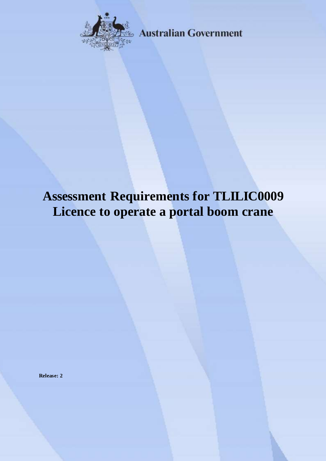

**Australian Government** 

# **Assessment Requirements for TLILIC0009 Licence to operate a portal boom crane**

**Release: 2**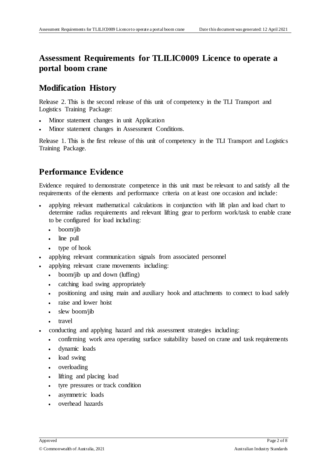### **Assessment Requirements for TLILIC0009 Licence to operate a portal boom crane**

#### **Modification History**

Release 2. This is the second release of this unit of competency in the TLI Transport and Logistics Training Package:

- Minor statement changes in unit Application
- Minor statement changes in Assessment Conditions.

Release 1. This is the first release of this unit of competency in the TLI Transport and Logistics Training Package.

# **Performance Evidence**

Evidence required to demonstrate competence in this unit must be relevant to and satisfy all the requirements of the elements and performance criteria on at least one occasion and include:

- applying relevant mathematical calculations in conjunction with lift plan and load chart to determine radius requirements and relevant lifting gear to perform work/task to enable crane to be configured for load including:
	- boom/jib
	- line pull
	- type of hook
- applying relevant communication signals from associated personnel
- applying relevant crane movements including:
	- boom/jib up and down (luffing)
	- catching load swing appropriately
	- positioning and using main and auxiliary hook and attachments to connect to load safely
	- raise and lower hoist
	- slew boom/jib
	- travel
- conducting and applying hazard and risk assessment strategies including:
	- confirming work area operating surface suitability based on crane and task requirements
	- dynamic loads
	- load swing
	- overloading
	- lifting and placing load
	- tyre pressures or track condition
	- asymmetric loads
	- overhead hazards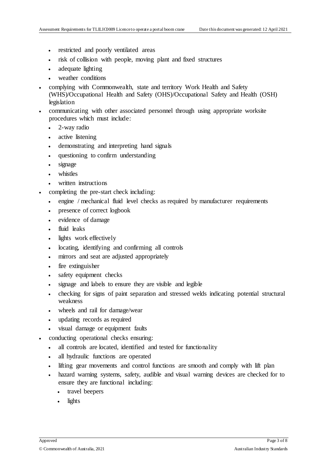- restricted and poorly ventilated areas
- risk of collision with people, moving plant and fixed structures
- adequate lighting
- weather conditions
- complying with Commonwealth, state and territory Work Health and Safety (WHS)/Occupational Health and Safety (OHS)/Occupational Safety and Health (OSH) legislation
- communicating with other associated personnel through using appropriate worksite procedures which must include:
	- 2-way radio
	- active listening
	- demonstrating and interpreting hand signals
	- questioning to confirm understanding
	- signage
	- whistles
	- written instructions
- completing the pre-start check including:
	- engine / mechanical fluid level checks as required by manufacturer requirements
	- presence of correct logbook
	- evidence of damage
	- fluid leaks
	- lights work effectively
	- locating, identifying and confirming all controls
	- mirrors and seat are adjusted appropriately
	- fire extinguisher
	- safety equipment checks
	- signage and labels to ensure they are visible and legible
	- checking for signs of paint separation and stressed welds indicating potential structural weakness
	- wheels and rail for damage/wear
	- updating records as required
	- visual damage or equipment faults
- conducting operational checks ensuring:
	- all controls are located, identified and tested for functionality
	- all hydraulic functions are operated
	- lifting gear movements and control functions are smooth and comply with lift plan
	- hazard warning systems, safety, audible and visual warning devices are checked for to ensure they are functional including:
		- travel beepers
		- lights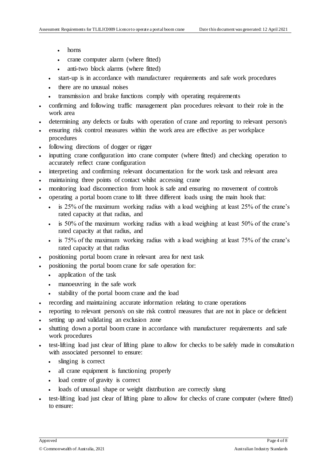- horns
- crane computer alarm (where fitted)
- anti-two block alarms (where fitted)
- start-up is in accordance with manufacturer requirements and safe work procedures
- there are no unusual noises
- transmission and brake functions comply with operating requirements
- confirming and following traffic management plan procedures relevant to their role in the work area
- determining any defects or faults with operation of crane and reporting to relevant person/s
- ensuring risk control measures within the work area are effective as per workplace procedures
- following directions of dogger or rigger
- inputting crane configuration into crane computer (where fitted) and checking operation to accurately reflect crane configuration
- interpreting and confirming relevant documentation for the work task and relevant area
- maintaining three points of contact whilst accessing crane
- monitoring load disconnection from hook is safe and ensuring no movement of controls
- operating a portal boom crane to lift three different loads using the main hook that:
	- is 25% of the maximum working radius with a load weighing at least 25% of the crane's rated capacity at that radius, and
	- is 50% of the maximum working radius with a load weighing at least 50% of the crane's rated capacity at that radius, and
	- is 75% of the maximum working radius with a load weighing at least 75% of the crane's rated capacity at that radius
- positioning portal boom crane in relevant area for next task
- positioning the portal boom crane for safe operation for:
	- application of the task
	- manoeuvring in the safe work
	- stability of the portal boom crane and the load
- recording and maintaining accurate information relating to crane operations
- reporting to relevant person/s on site risk control measures that are not in place or deficient
- setting up and validating an exclusion zone
- shutting down a portal boom crane in accordance with manufacturer requirements and safe work procedures
- test-lifting load just clear of lifting plane to allow for checks to be safely made in consultation with associated personnel to ensure:
	- slinging is correct
	- all crane equipment is functioning properly
	- load centre of gravity is correct
	- loads of unusual shape or weight distribution are correctly slung
- test-lifting load just clear of lifting plane to allow for checks of crane computer (where fitted) to ensure: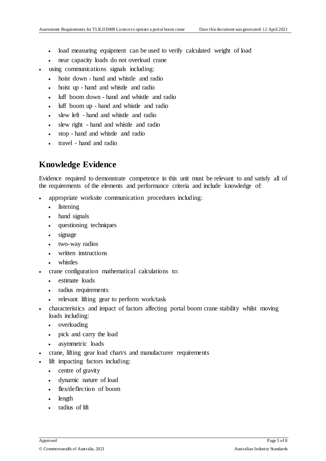- load measuring equipment can be used to verify calculated weight of load
- near capacity loads do not overload crane
- using communications signals including:
	- hoist down hand and whistle and radio
	- hoist up hand and whistle and radio
	- luff boom down hand and whistle and radio
	- luff boom up hand and whistle and radio
	- slew left hand and whistle and radio
	- slew right hand and whistle and radio
	- stop hand and whistle and radio
	- travel hand and radio

# **Knowledge Evidence**

Evidence required to demonstrate competence in this unit must be relevant to and satisfy all of the requirements of the elements and performance criteria and include knowledge of:

- appropriate worksite communication procedures including:
	- listening
	- hand signals
	- questioning techniques
	- signage
	- two-way radios
	- written instructions
	- whistles
- crane configuration mathematical calculations to:
	- estimate loads
	- radius requirements
	- relevant lifting gear to perform work/task
- characteristics and impact of factors affecting portal boom crane stability whilst moving loads including:
	- overloading
	- pick and carry the load
	- asymmetric loads
- crane, lifting gear load chart/s and manufacturer requirements
- lift impacting factors including:
	- centre of gravity
	- dynamic nature of load
	- flex/deflection of boom
	- length
	- radius of lift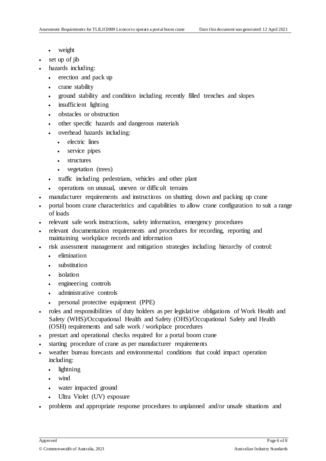- weight
- set up of jib
- hazards including:
	- erection and pack up
	- crane stability
	- ground stability and condition including recently filled trenches and slopes
	- insufficient lighting
	- obstacles or obstruction
	- other specific hazards and dangerous materials
	- overhead hazards including:
		- electric lines
		- service pipes
		- structures
		- vegetation (trees)
	- traffic including pedestrians, vehicles and other plant
	- operations on unusual, uneven or difficult terrains
- manufacturer requirements and instructions on shutting down and packing up crane
- portal boom crane characteristics and capabilities to allow crane configuration to suit a range of loads
- relevant safe work instructions, safety information, emergency procedures
- relevant documentation requirements and procedures for recording, reporting and maintaining workplace records and information
- risk assessment management and mitigation strategies including hierarchy of control:
	- elimination
	- substitution
	- isolation
	- engineering controls
	- administrative controls
	- personal protective equipment (PPE)
- roles and responsibilities of duty holders as per legislative obligations of Work Health and Safety (WHS)/Occupational Health and Safety (OHS)/Occupational Safety and Health (OSH) requirements and safe work / workplace procedures
- prestart and operational checks required for a portal boom crane
- starting procedure of crane as per manufacturer requirements
- weather bureau forecasts and environmental conditions that could impact operation including:
	- lightning
	- wind
	- water impacted ground
	- Ultra Violet (UV) exposure
- problems and appropriate response procedures to unplanned and/or unsafe situations and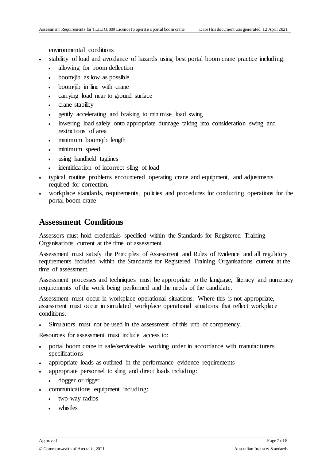environmental conditions

- stability of load and avoidance of hazards using best portal boom crane practice including:
	- allowing for boom deflection
	- boom/jib as low as possible
	- boom/jib in line with crane
	- carrying load near to ground surface
	- crane stability
	- gently accelerating and braking to minimise load swing
	- lowering load safely onto appropriate dunnage taking into consideration swing and restrictions of area
	- minimum boom/iib length
	- minimum speed
	- using handheld taglines
	- identification of incorrect sling of load
- typical routine problems encountered operating crane and equipment, and adjustments required for correction.
- workplace standards, requirements, policies and procedures for conducting operations for the portal boom crane

#### **Assessment Conditions**

Assessors must hold credentials specified within the Standards for Registered Training Organisations current at the time of assessment.

Assessment must satisfy the Principles of Assessment and Rules of Evidence and all regulatory requirements included within the Standards for Registered Training Organisations current at the time of assessment.

Assessment processes and techniques must be appropriate to the language, literacy and numeracy requirements of the work being performed and the needs of the candidate.

Assessment must occur in workplace operational situations. Where this is not appropriate, assessment must occur in simulated workplace operational situations that reflect workplace conditions.

Simulators must not be used in the assessment of this unit of competency.

Resources for assessment must include access to:

- portal boom crane in safe/serviceable working order in accordance with manufacturers specifications
- appropriate loads as outlined in the performance evidence requirements
- appropriate personnel to sling and direct loads including:
	- dogger or rigger
- communications equipment including:
	- two-way radios
	- whistles